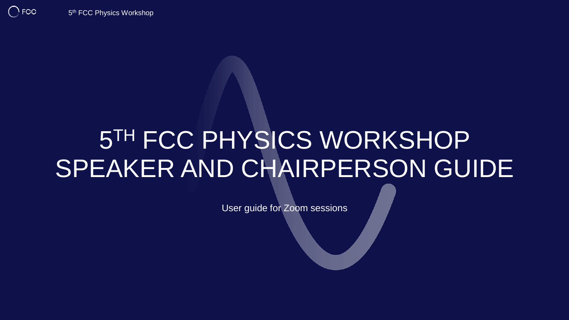$\bigcap$  FCC

# 5 TH FCC PHYSICS WORKSHOP SPEAKER AND CHAIRPERSON GUIDE

User guide for Zoom sessions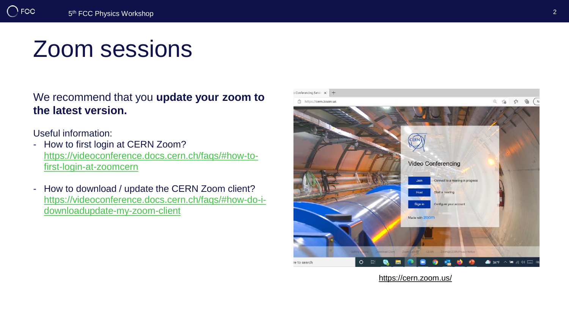## Zoom sessions

We recommend that you **update your zoom to the latest version.**

Useful information:

- How to first login at CERN Zoom? [https://videoconference.docs.cern.ch/faqs/#how-to](https://videoconference.docs.cern.ch/faqs/#how-to-first-login-at-zoomcern)first-login-at-zoomcern
- How to download / update the CERN Zoom client? [https://videoconference.docs.cern.ch/faqs/#how-do-i](https://videoconference.docs.cern.ch/faqs/#how-do-i-downloadupdate-my-zoom-client)downloadupdate-my-zoom-client



<https://cern.zoom.us/>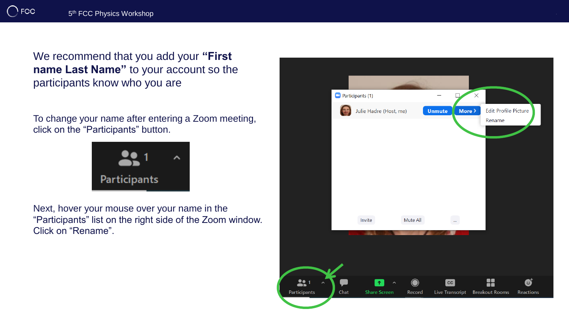We recommend that you add your **"First name Last Name"** to your account so the participants know who you are

To change your name after entering a Zoom meeting, click on the "Participants" button.



Next, hover your mouse over your name in the "Participants" list on the right side of the Zoom window. Click on "Rename".

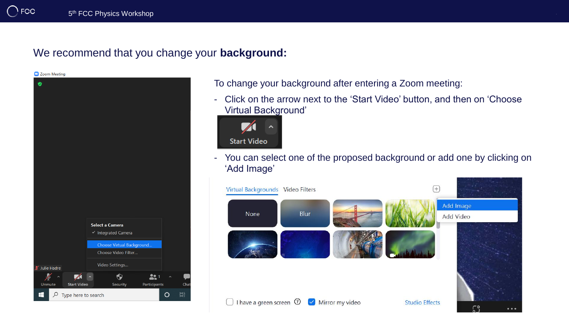#### We recommend that you change your **background:**

Zoom Meeting



To change your background after entering a Zoom meeting:

- Click on the arrow next to the 'Start Video' button, and then on 'Choose Virtual Background'



- You can select one of the proposed background or add one by clicking on 'Add Image'

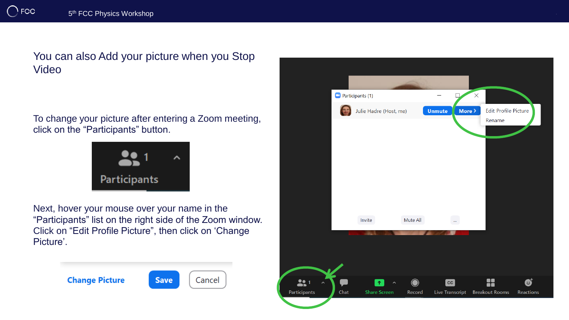You can also Add your picture when you Stop Video

To change your picture after entering a Zoom meeting, click on the "Participants" button.



Next, hover your mouse over your name in the "Participants" list on the right side of the Zoom window. Click on "Edit Profile Picture", then click on 'Change Picture'.



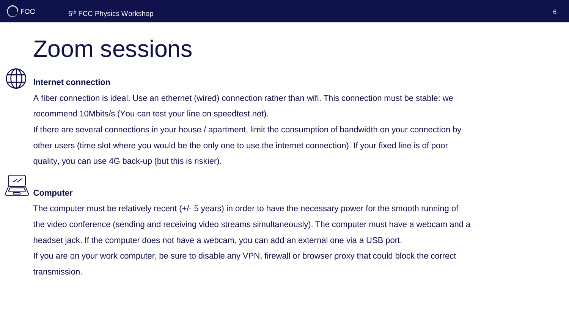### Zoom sessions

### **Internet connection**

A fiber connection is ideal. Use an ethernet (wired) connection rather than wifi. This connection must be stable: we recommend 10Mbits/s (You can test your line on speedtest.net).

If there are several connections in your house / apartment, limit the consumption of bandwidth on your connection by

other users (time slot where you would be the only one to use the internet connection). If your fixed line is of poor quality, you can use 4G back-up (but this is riskier).

### **Computer**

The computer must be relatively recent (+/- 5 years) in order to have the necessary power for the smooth running of the video conference (sending and receiving video streams simultaneously). The computer must have a webcam and a headset jack. If the computer does not have a webcam, you can add an external one via a USB port. If you are on your work computer, be sure to disable any VPN, firewall or browser proxy that could block the correct transmission.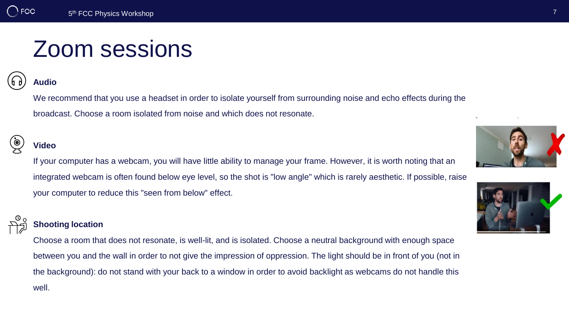## Zoom sessions

#### **Audio**

We recommend that you use a headset in order to isolate yourself from surrounding noise and echo effects during the broadcast. Choose a room isolated from noise and which does not resonate.

#### **Video**

If your computer has a webcam, you will have little ability to manage your frame. However, it is worth noting that an integrated webcam is often found below eye level, so the shot is "low angle" which is rarely aesthetic. If possible, raise your computer to reduce this "seen from below" effect.

#### **Shooting location**

Choose a room that does not resonate, is well-lit, and is isolated. Choose a neutral background with enough space between you and the wall in order to not give the impression of oppression. The light should be in front of you (not in the background): do not stand with your back to a window in order to avoid backlight as webcams do not handle this well.



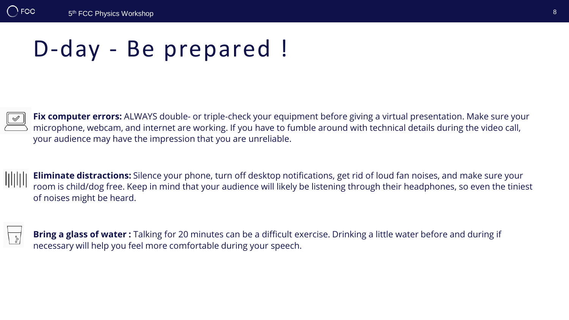# D-day - Be prepared !



**Fix computer errors:** ALWAYS double- or triple-check your equipment before giving a virtual presentation. Make sure your microphone, webcam, and internet are working. If you have to fumble around with technical details during the video call, your audience may have the impression that you are unreliable.

**Eliminate distractions:** Silence your phone, turn off desktop notifications, get rid of loud fan noises, and make sure your room is child/dog free. Keep in mind that your audience will likely be listening through their headphones, so even the tiniest of noises might be heard.



**Bring a glass of water :** Talking for 20 minutes can be a difficult exercise. Drinking a little water before and during if necessary will help you feel more comfortable during your speech.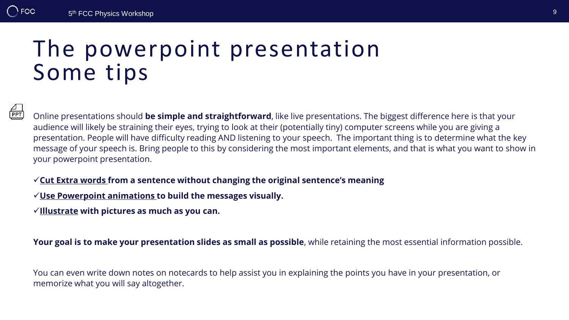### The powerpoint presentation Some tips

 $\frac{\Delta}{\texttt{PPT}}$ 

Online presentations should **be simple and straightforward**, like live presentations. The biggest difference here is that your audience will likely be straining their eyes, trying to look at their (potentially tiny) computer screens while you are giving a presentation. People will have difficulty reading AND listening to your speech. The important thing is to determine what the key message of your speech is. Bring people to this by considering the most important elements, and that is what you want to show in your powerpoint presentation.

#### ✓**Cut Extra words from a sentence without changing the original sentence's meaning**

- ✓**Use Powerpoint animations to build the messages visually.**
- ✓**Illustrate with pictures as much as you can.**

**Your goal is to make your presentation slides as small as possible**, while retaining the most essential information possible.

You can even write down notes on notecards to help assist you in explaining the points you have in your presentation, or memorize what you will say altogether.